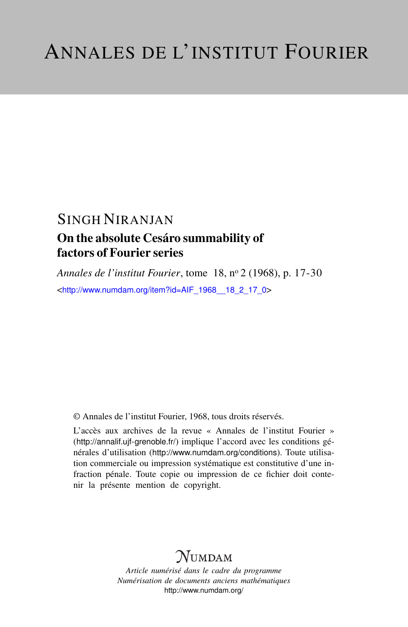## SINGH NIRANJAN On the absolute Cesáro summability of factors of Fourier series

*Annales de l'institut Fourier*, tome 18, n<sup>o</sup> 2 (1968), p. 17-30 <[http://www.numdam.org/item?id=AIF\\_1968\\_\\_18\\_2\\_17\\_0](http://www.numdam.org/item?id=AIF_1968__18_2_17_0)>

© Annales de l'institut Fourier, 1968, tous droits réservés.

L'accès aux archives de la revue « Annales de l'institut Fourier » (<http://annalif.ujf-grenoble.fr/>) implique l'accord avec les conditions générales d'utilisation (<http://www.numdam.org/conditions>). Toute utilisation commerciale ou impression systématique est constitutive d'une infraction pénale. Toute copie ou impression de ce fichier doit contenir la présente mention de copyright.

# NUMDAM

*Article numérisé dans le cadre du programme Numérisation de documents anciens mathématiques* <http://www.numdam.org/>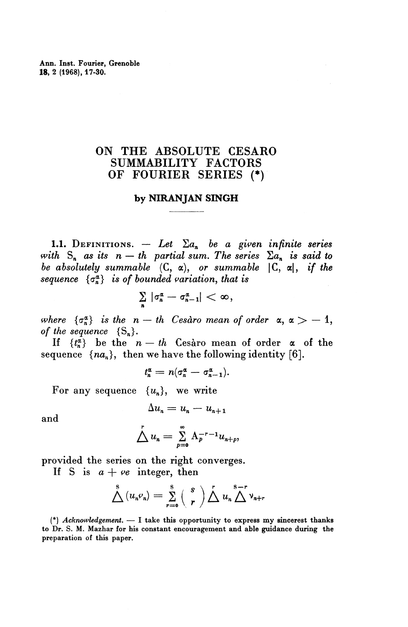## ON THE ABSOLUTE CESARO SUMMABILITY FACTORS OF FOURIER SERIES (\*)

### **by** NIRANJAN **SINGH**

**1.1.** DEFINITIONS.  $-$  Let  $\Sigma a_n$  be a given infinite series *with*  $S_n$  *as its n* — *th partial sum. The series*  $\sum a_n$  *is said to be absolutely summable*  $(C, \alpha)$ , *or summable*  $|C, \alpha|$ , *if the sequence*  $\{\sigma_n^a\}$  *is of bounded variation, that is* 

$$
\sum_{n} |\sigma_n^{\alpha}-\sigma_{n-1}^{\alpha}|<\infty,
$$

where  $\{\sigma_n^{\alpha}\}\$  is the  $n - th$  Cesaro mean of order  $\alpha, \alpha > -1$ , *of the sequence*  $\{S_n\}.$ 

If  ${t^a_n}$  be the  $n - th$  Cesaro mean of order  $\alpha$  of the sequence  $\{na_n\}$ , then we have the following identity [6].<br> $t^{\alpha}_n = n(\sigma^{\alpha}_n - \sigma^{\alpha}_{n-1}).$ 

$$
t_n^{\alpha}=n(\sigma_n^{\alpha}-\sigma_{n-1}^{\alpha}).
$$

For any sequence  ${u_n}$ , we write

$$
\Delta u_n = u_n - u_{n+1}
$$

and

$$
\sum_{n=0}^{r} u_n = \sum_{p=0}^{\infty} A_p^{-r-1} u_{n+p},
$$

provided the series on the right converges.

If S is  $a + \nu e$  integer, then

$$
\bigwedge^{\mathbf{S}}\left(u_{n}\varphi_{n}\right)=\sum_{r=0}^{\mathbf{S}}\left(\begin{array}{c}\mathbf{s}\\r\end{array}\right)\bigwedge^{r}u_{n}\bigwedge^{\mathbf{S}-r}v_{n+r}
$$

(\*) *Acknowledgement. —* I take this opportunity to express my sincerest thanks to Dr. S. M. Mazhar for his constant encouragement and able guidance during the preparation of this paper.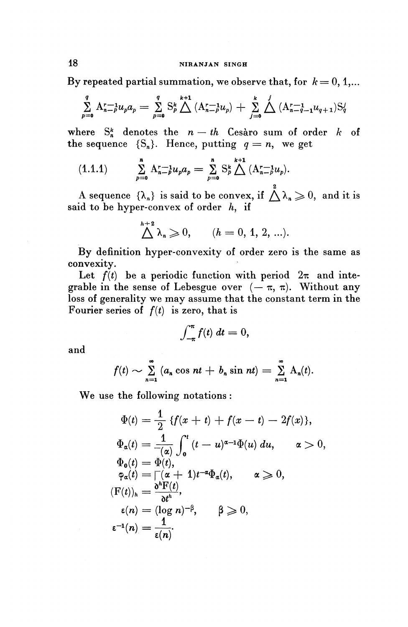## **18 NIRANJAN SINGH**

By repeated partial summation, we observe that, for  $k = 0, 1,...$ 

$$
\sum_{p=0}^{q} \mathbf{A}_{n-p}^{r-1} u_p a_p = \sum_{p=0}^{q} \mathbf{S}_p^k \sum_{p=0}^{k+1} (\mathbf{A}_{n-p}^{r-1} u_p) + \sum_{j=0}^{k} \sum_{p=0}^{j} (\mathbf{A}_{n-q-1}^{r-1} u_{q+1}) \mathbf{S}_q^j
$$

where  $S^k_n$  denotes the  $n - th$  Cesaro sum of order k of the sequence  ${S_n}$ . Hence, putting  $q = n$ , we get

(1.1.1) 
$$
\sum_{p=0}^{n} \mathbf{A}_{n-p}^{r-1} u_p a_p = \sum_{p=0}^{n} \mathbf{S}_p^k \bigwedge^{k+1} (\mathbf{A}_{n-p}^{r-1} u_p).
$$

A sequence  $\{\lambda_n\}$  is said to be convex, if  $\bigwedge^2 \lambda_n \geq 0$ , and it is said to be hyper-convex of order  $h$ , if

$$
\bigwedge^{h+2} \lambda_n \geqslant 0, \qquad (h = 0, 1, 2, \ldots).
$$

**By** definition hyper-convexity of order zero is the same as convexity.

Let  $f(t)$  be a periodic function with period  $2\pi$  and integrable in the sense of Lebesgue over  $(-\pi, \pi)$ . Without any loss of generality we may assume that the constant term in the Fourier series of *f{t)* is zero, that is

$$
\int_{-\pi}^{\pi} f(t) \, dt = 0,
$$

and

$$
f(t) \sim \sum_{n=1}^{\infty} (a_n \cos nt + b_n \sin nt) = \sum_{n=1}^{\infty} A_n(t).
$$

We use the following notations :

$$
\Phi(t) = \frac{1}{2} \{f(x+t) + f(x-t) - 2f(x)\},
$$
\n
$$
\Phi_{\alpha}(t) = \frac{1}{-(\alpha)} \int_0^t (t-u)^{\alpha-1} \Phi(u) du, \quad \alpha > 0,
$$
\n
$$
\Phi_0(t) = \Phi(t),
$$
\n
$$
\varphi_{\alpha}(t) = \Gamma(\alpha+1)t^{-\alpha} \Phi_{\alpha}(t), \quad \alpha \ge 0,
$$
\n
$$
(\mathbf{F}(t))_h = \frac{\partial^h \mathbf{F}(t)}{\partial t^h},
$$
\n
$$
\varepsilon(n) = (\log n)^{-\beta}, \quad \beta \ge 0,
$$
\n
$$
\varepsilon^{-1}(n) = \frac{1}{\varepsilon(n)}.
$$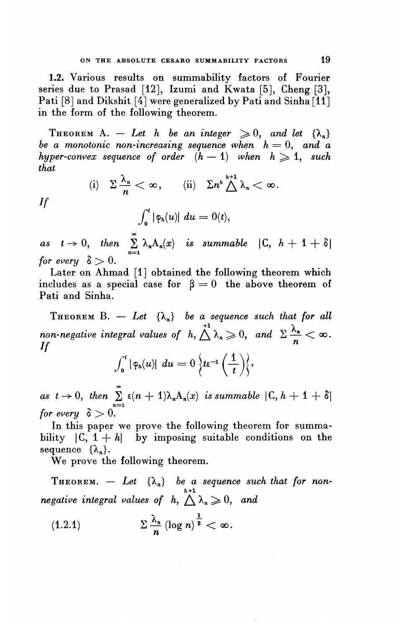**1.2.** Various results on summability factors of Fourier series due to Prasad [12], Izumi and Kwata [5], Cheng [3], Pati [8] and Dikshit [4] were generalized by Pati and Sinha [11] in the form of the following theorem.

THEOREM A. - Let h be an integer  $\geq 0$ , and let  $\{\lambda_n\}$ *be a monotonic non-increasing sequence when*  $h = 0$ , and a *hyper-convex sequence of order*  $(h - 1)$  when  $h \geq 1$ , such *that*

$$
(i) \quad \Sigma \frac{\lambda_n}{n} < \infty, \qquad (ii) \quad \Sigma n^h \overset{h+1}{\underset{\sim}{\bigtriangleup}} \lambda_n < \infty.
$$
\n
$$
If \qquad \qquad \int_0^t |\varphi_h(u)| \ du = 0(t),
$$

as  $t \to 0$ , then  $\sum_{n=1}^{\infty} \lambda_n A_n(x)$  is summable  $|C, h + 1 + \delta|$ *for every*  $\delta > 0$ .

Later on Ahmad [1] obtained the following theorem which includes as a special case for  $\beta = 0$  the above theorem of Pati and Sinha.

THEOREM B.  $-$  Let  $\{\lambda_n\}$  be a sequence such that for all  $^{+1}$   $\lambda$ **Pati and Sinha.**<br> **THEOREM B.**  $-$  *Let*  $\{\lambda_n\}$  *be a sequence such that for all*<br> *non-negative integral values of*  $h, \triangle \lambda_n \geq 0$ , and  $\sum \frac{\lambda_n}{n} < \infty$ .<br> *If If*<br>*If*<br>*If* 

$$
\int_0^t |\varphi_h(u)| \ du = 0 \Big\{ t \varepsilon^{-1} \left( \frac{1}{t} \right) \Big\},\,
$$

as  $t \to 0$ , then  $\sum_{n=1}^{\infty} \epsilon(n+1)\lambda_n A_n(x)$  is summable  $|C, h + 1 + \delta|$ for every  $\delta > 0$ .

In this paper we prove the following theorem for summability  $|C, 1 + h|$  by imposing suitable conditions on the sequence  $\{\lambda_n\}.$ 

We prove the following theorem.

THEOREM.  $-$  Let  $\{\lambda_n\}$  be a sequence such that for non*h+l* We prove the following theorem.<br>
THEOREM.  $-$  *Let*  $\{\lambda_n\}$  *be a sequence such negative integral values of*  $h, \triangle \lambda_n \geq 0$ , and

 $\bar{z}$ 

$$
(1.2.1) \t\t\t\t\t\Sigma \frac{\lambda_n}{n} (\log n)^{\frac{1}{2}} < \infty.
$$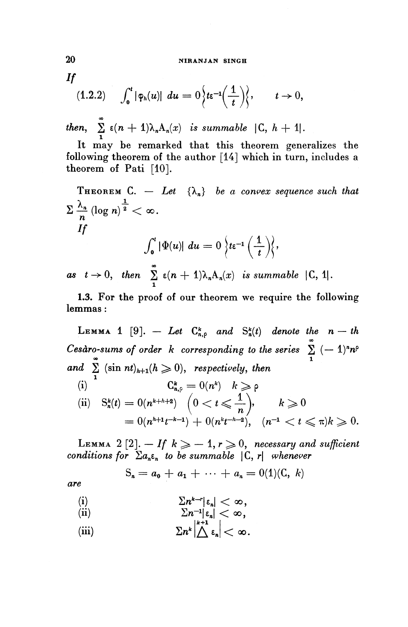#### **20 NIRANJAN SINGH**

*If*

$$
(1.2.2) \qquad \int_0^t |\varphi_h(u)| \, du = 0 \Big\{ t \epsilon^{-1} \Big( \frac{1}{t} \Big) \Big\}, \qquad t \to 0,
$$

**(b)**  $\sum_{n=1}^{\infty} \epsilon(n+1)\lambda_nA_n(x)$  is summable  $|C, h + 1|$ .<br>It may be remarked that this theorem cannot

**It may be remarked that this theorem generalizes the following theorem of the author [14] which in turn, includes a theorem of Pati [10].**

It may be remarked that this theorem generalizes the following theorem of the author [14] which in turn, includes a theorem of Pati [10].  
\nTHEOREM C. - Let 
$$
\{\lambda_n\}
$$
 be a convex sequence such that\n
$$
\sum \frac{\lambda_n}{n} (\log n)^{\frac{1}{2}} < \infty.
$$
\nIf\n
$$
\int_0^t |\Phi(u)| \ du = 0 \left\{ t \in \left( \frac{1}{t} \right) \right\},
$$
\nas  $t \to 0$ , then  $\sum_{n=1}^{\infty} \varepsilon(n+1) \lambda_n A_n(x)$  is summable  $|C, 1|$ .

**1.3.** For the proof of our theorem we require the following lemmas:

LEMMA 1 [9].  $-$  Let  $C^k_{n,p}$  and  $S^k_n(t)$  denote the  $n-th$  $C$ esàro-sums of order  $k$  corresponding to the series  $\sum_{n=1}^{\infty}(-1)^{n}n^{c}$  $\sum_{n=0}^{\infty}$  is the  $\sum_{n=0}^{\infty}$  in  $\sum_{n=0}^{\infty}$  in  $\sum_{n=0}^{\infty}$  is the series  $\sum_{n=1}^{\infty}$ *and*  $\sum_{n=1}^{\infty}$  (sin *nt*)<sub>*h*+1</sub>(*h*  $\geq$  0), *respectively, then*  $\begin{array}{ll} d \geq (\mathrm{sin} \; nt)_{h+1} (h \geqslant 0), & \text{respectively, } th \ \mathrm{(i)} & \mathrm{C}^k_{n, \varphi} = 0(n^k) & k \geqslant \rho. \end{array}$ (ii)  $S_n^k(t) = O(n^{k+h+2}) \quad (0 < t \leqslant \frac{1}{n}), \qquad k \geqslant 0$  $\left(\frac{0}{t}\right)$  $= 0(n^{h+1}t^{-k-1}) + 0(n^kt^{-h-2}), \quad (n^{-1} < t \leqslant \pi)k \geqslant 0.$ 

LEMMA 2  $[2]$ .  $-$  *If k*  $\geqslant$   $-$  1,  $r$   $\geqslant$  0, *necessary and sufficient* **LEMMA**  $2 \lfloor 2 \rfloor$ *.*  $\longrightarrow$   $If$   $k \geqslant -1$ ,  $r \geqslant 0$ , necessary and conditions for  $\sum a_n \varepsilon_n$  to be summable  $\lvert \mathcal{C}, r \rvert$  whenever

$$
S_n = a_0 + a_1 + \cdots + a_n = 0(1)(C, k)
$$

*are*

(i) 
$$
\sum n^{k-r} |\epsilon_n| < \infty,
$$

(i) 
$$
\sum_{i=1}^{n-1} \epsilon_n < \infty,
$$

(iii) 
$$
\sum n^k \left| \bigwedge^{k+1} \varepsilon_n \right| < \infty.
$$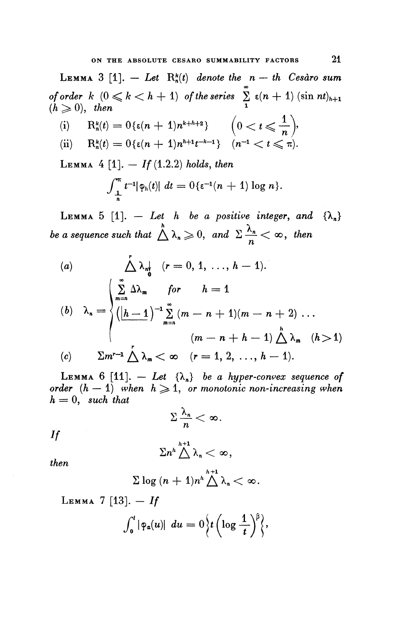LEMMA 3 [1]. — Let  $R_n^k(t)$  denote the  $n - th$  Cesaro sum 00 **LEMMA** 3  $[1]$ .  $-$  Let  $R_n^*(t)$  denote the  $n - th$  Cesaro sum<br>of order  $k$   $(0 \leq k < h + 1)$  of the series  $\sum_{n=1}^{\infty} \varepsilon(n + 1) (\sin nt)_{h+1}$ of order  $h(0 \le h \le h+1)$  of the series  $\frac{2}{1}$ <br>( $h \ge 0$ ), then

$$
R_n^k(t) = 0\{\varepsilon(n + 1)n^{k + h + 2}\}\n \t\t(0 < t ≤ \frac{1}{n}),
$$
\n(ii) R\_n^k(t) = 0\{\varepsilon(n + 1)n^{h+1}t^{-k-1}\}\n \t(n<sup>-1</sup> < t ≤ π).

 $L_{EMMA}$  4 [1].  $-$  *If* (1.2.2) holds, then

$$
\int_{-\frac{1}{n}}^{\pi} t^{-1} |\varphi_h(t)| dt = 0 \{\varepsilon^{-1}(n+1) \log n\}.
$$

LEMMA 5 [1].  $-$  Let h be a positive integer, and  $\{\lambda_n\}$ *be a sequence such that*  $\bigwedge^n \lambda_n \geqslant 0$ , and  $\Sigma \frac{\lambda_n}{n} < \infty$ , then

(a)  
\n
$$
\Delta \lambda_n \nvert \nvert (r = 0, 1, ..., h-1).
$$
\n(b)  
\n
$$
\lambda_n = \begin{cases}\n\sum_{m=n}^{\infty} \Delta \lambda_m & \text{for } h = 1 \\
(\frac{h-1}{n})^{-1} \sum_{m=n}^{\infty} (m-n+1)(m-n+2) \dots \\
(m-n+h-1) \Delta \lambda_m & (h > 1)\n\end{cases}
$$
\n(c)  
\n
$$
\sum m^{r-1} \Delta \lambda_m < \infty \quad (r = 1, 2, ..., h-1).
$$

LEMMA 6 [11].  $-$  Let  $\{\lambda_n\}$  be a hyper-convex sequence of *order*  $(h - 1)$  when  $h \geqslant 1$ , or monotonic non-increasing when  $h = 0$ , such that

$$
\sum \frac{\lambda_n}{n} < \infty.
$$

 $\overline{If}$ 

$$
\Sigma n^h \bigwedge^{h+1} \lambda_n < \infty
$$

then

$$
\Sigma \log{(n+1)n^h} \overset{h+1}{\triangle} \lambda_n < \infty.
$$

 $LEMMA$  7 [13]. - If

$$
\int_0^t |\varphi_a(u)| \ du = 0 \Big\{ t \left( \log \frac{1}{t} \right)^{\beta} \Big\},\,
$$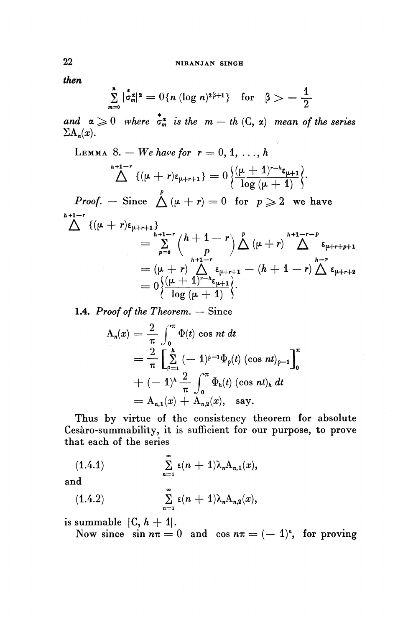then

$$
\sum_{m=0}^{n} |\dot{\sigma}_m^{\alpha}|^2 = O\{n (\log n)^{2\beta+1}\} \text{ for } \beta > -\frac{1}{2}
$$

and  $\alpha \geq 0$  where  $\stackrel{*}{\sigma_m}$  is the  $m - th$  (C,  $\alpha$ ) mean of the series  $\sum A_n(x)$ .

).

LEMMA 8. – We have for 
$$
r = 0, 1, ..., h
$$
  

$$
\Delta^{h+1-r} \{(\mu + r)\epsilon_{\mu+r+1}\} = 0 \left\{ \frac{(\mu + 1)^{r-h} \epsilon_{\mu+1}}{\log{(\mu + 1)}} \right\}.
$$

*Proof.* – Since  $\bigwedge^p (\mu + r) = 0$  for  $p \geqslant 2$  we have  $h+1-r$ 

$$
\begin{split} \bigwedge^{h+1-r} \{(\mu+r)\varepsilon_{\mu+r+1}\} &= \sum_{p=0}^{h+1-r} {h+1-r \choose p} \bigwedge^p (\mu+r) \bigwedge^{h+1-r-p} \varepsilon_{\mu+r+p+1} \\ &= (\mu+r) \bigwedge^{h+1-r} \varepsilon_{\mu+r+1} - (h+1-r) \bigwedge^{h-r} \varepsilon_{\mu+r+2} \\ &= 0 \Big\{ \frac{(\mu+1)^{r-h} \varepsilon_{\mu+1}}{\log{(\mu+1)}} \Big\}. \end{split}
$$

**1.4.** *Proof of the Theorem. —* Since

$$
A_n(x) = \frac{2}{\pi} \int_0^{\pi} \Phi(t) \cos nt \, dt
$$
  
=  $\frac{2}{\pi} \left[ \sum_{\rho=1}^h (-1)^{\rho-1} \Phi_{\rho}(t) (\cos nt)_{\rho-1} \right]_0^{\pi}$   
+  $(-1)^h \frac{2}{\pi} \int_0^{\pi} \Phi_h(t) (\cos nt)_h \, dt$   
=  $A_{n,1}(x) + A_{n,2}(x)$ , say.

Thus by virtue of the consistency theorem for absolute Cesaro-summability, it is sufficient for our purpose, to prove that each of the series

(1.4.1) 
$$
\sum_{n=1}^{\infty} \epsilon(n+1) \lambda_n A_{n,1}(x),
$$

and

(a)  

$$
\sum_{n=1}^{\infty} \epsilon(n+1) \lambda_n A_{n,2}(x),
$$

is summable  $|C, h + 1|$ .

Now since  $\sin n\pi = 0$  and  $\cos n\pi = (-1)^n$ , for proving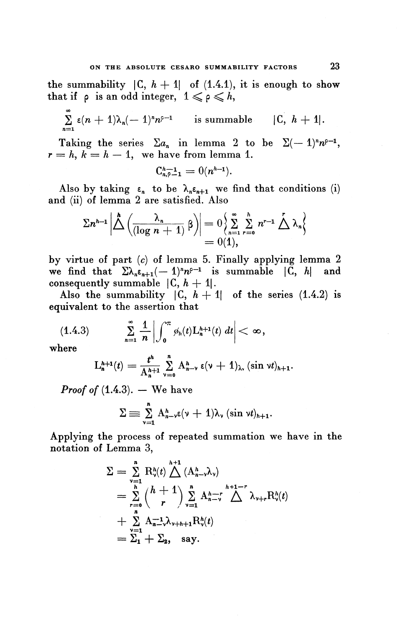the summability  $|C, h + 1|$  of  $(1.4.1)$ , it is enough to show that if  $\rho$  is an odd integer,  $1 \leqslant \rho \leqslant h$ ,

 $\sum_{n=1}^{\infty} \epsilon(n+1)\lambda_n(-1)^n n^{p-1}$  is summable  $|C, h+1|$ .

Taking the series  $\Sigma a_n$  in lemma 2 to be  $\Sigma(-1)^n n^{\rho-1}$  $r = h, k = h - 1$ , we have from lemma 1.

$$
C_{n,\rho-1}^{h-1} = 0(n^{h-1}).
$$

Also by taking  $\epsilon_n$  to be  $\lambda_n \epsilon_{n+1}$  we find that conditions (i) and (ii) of lemma 2 are satisfied. Also

$$
\sum n^{h-1} \left| \bigwedge^{h} \left( \frac{\lambda_n}{(\log n + 1)} \beta \right) \right| = 0 \left\{ \sum_{n=1}^{\infty} \sum_{r=0}^{h} n^{r-1} \bigwedge^{r} \lambda_n \right\} = 0(1),
$$

by virtue of part (c) of lemma 5. Finally applying lemma 2 we find that  $\sum_{n} \lambda_n \epsilon_{n+1}(-1)^n n^{e-1}$  is summable  $|C, h|$  and consequently summable  $|C, h + 1|$ .

Also the summability  $|C, h + 1|$  of the series (1.4.2) is equivalent to the assertion that

$$
(1.4.3) \qquad \sum_{n=1}^{\infty} \frac{1}{n} \left| \int_{0}^{\pi} \varphi_h(t) \mathcal{L}_h^{h+1}(t) \, dt \right| < \infty,
$$

where

$$
L_n^{h+1}(t)=\frac{t^h}{A_n^{h+1}}\sum_{\nu=0}^n A_{n-\nu}^h \epsilon(\nu+1)_\lambda, (\sin \nu t)_{h+1}.
$$

*Proof of*  $(1.4.3)$ . — We have

$$
\Sigma \equiv \sum_{\nu=1}^n A_{n-\nu}^h \epsilon(\nu+1) \lambda_{\nu} (\sin \nu t)_{h+1}.
$$

Applying the process of repeated summation we have in the notation of Lemma 3,

$$
\Sigma = \sum_{\substack{\nu=1 \ n \nu}}^n R_{\nu}^h(t) \bigwedge^{h+1} (A_{n-\nu}^h \lambda_{\nu})
$$
  
= 
$$
\sum_{r=0}^h {h+1 \choose r} \sum_{\nu=1}^n A_{n-\nu}^{h+1-r} \bigwedge^{h+1-r} \lambda_{\nu+r} R_{\nu}^h(t)
$$
  
+ 
$$
\sum_{\nu=1}^n A_{n-\nu}^{-1} \lambda_{\nu+h+1} R_{\nu}^h(t)
$$
  
= 
$$
\Sigma_1 + \Sigma_2
$$
, say.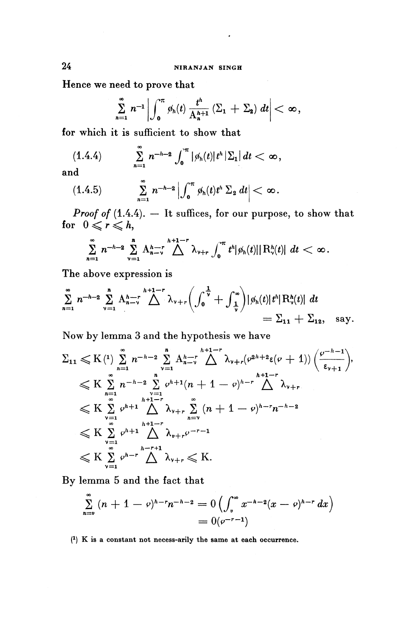Hence we need to prove that

$$
\sum_{n=1}^{\infty} n^{-1} \left| \int_0^{\pi} \phi_h(t) \frac{t^h}{A_h^{h+1}} \left( \Sigma_1 + \Sigma_2 \right) dt \right| < \infty,
$$

for which it is sufficient to show that

$$
(1.4.4) \qquad \sum_{n=1}^{\infty} n^{-h-2} \int_{0}^{\pi} |\phi_h(t)| t^h |\Sigma_1| dt < \infty,
$$

**and**

$$
(1.4.5) \qquad \sum_{n=1}^{\infty} n^{-h-2} \left| \int_{0}^{\pi} \phi_{h}(t) t^{h} \Sigma_{2} dt \right| < \infty.
$$

*Proof of* (1.4.4). — It suffices, for our purpose, to show that

$$
\text{for } 0 \leqslant r \leqslant h,
$$
\n
$$
\sum_{n=1}^{\infty} n^{-h-2} \sum_{\nu=1}^{n} A_{n-\nu}^{h-1} \bigwedge^{h+1-r} \lambda_{\nu+r} \int_{0}^{\pi} t^{h} |\phi_{h}(t)| |R_{\nu}^{h}(t)| dt < \infty.
$$

The above expression is

$$
\sum_{n=1}^{\infty} n^{-h-2} \sum_{\nu=1}^{h} A_{n-\nu}^{h-1-r} \bigwedge^{h+1-r} \lambda_{\nu+r} \bigg( \int_{0}^{\frac{1}{\nu}} + \int_{\frac{1}{\nu}}^{\infty} \bigg) |\phi_{h}(t)| t^{h} | R_{\nu}^{h}(t)| dt = \Sigma_{11} + \Sigma_{12}, \text{ say.}
$$

Now by lemma 3 and the hypothesis we have

$$
\Sigma_{11} \leqslant K \left( \begin{matrix} 1 \end{matrix} \right) \sum_{n=1}^{\infty} n^{-h-2} \sum_{\nu=1}^{n} A_{n-\nu}^{h-1} \bigwedge_{\nu+r}^{h+1-r} \lambda_{\nu+r} (\varphi^{2h+2} \varepsilon (\nu+1)) \left( \frac{\varphi^{-h-1}}{\varepsilon_{\nu+1}} \right),
$$
\n
$$
\leqslant K \sum_{n=1}^{\infty} n^{-h-2} \sum_{\nu=1}^{n} \varphi^{h+1} (n+1-\varphi)^{h-r} \bigwedge_{\nu+r}^{h+1-r} \lambda_{\nu+r}
$$
\n
$$
\leqslant K \sum_{\nu=1}^{\infty} \varphi^{h+1} \bigwedge_{\nu+r}^{h+1-r} \lambda_{\nu+r} \sum_{n=\nu}^{\infty} (n+1-\varphi)^{h-r} n^{-h-2}
$$
\n
$$
\leqslant K \sum_{\nu=1}^{\infty} \varphi^{h+1} \bigwedge_{\nu+r}^{h+1-r} \lambda_{\nu+r} \varphi^{-r-1}
$$
\n
$$
\leqslant K \sum_{\nu=1}^{\infty} \varphi^{h-r} \bigwedge_{\nu+r}^{h-r+1} \lambda_{\nu+r} \leqslant K.
$$

By lemma 5 and the fact that

$$
\leqslant K \sum_{\nu=1}^{\infty} \varphi^{h-r} \bigwedge^{h-r+1} \lambda_{\nu+r} \leqslant K.
$$
  
lemma 5 and the fact that  

$$
\sum_{n=\nu}^{\infty} (n+1-\varphi)^{h-r} n^{-h-2} = O\left(\int_{\nu}^{\infty} x^{-h-2} (x-\varphi)^{h-r} dx\right)
$$

$$
= O(\varphi^{-r-1})
$$

( 1 ) K is a constant not necess-arily the same at each occurrence.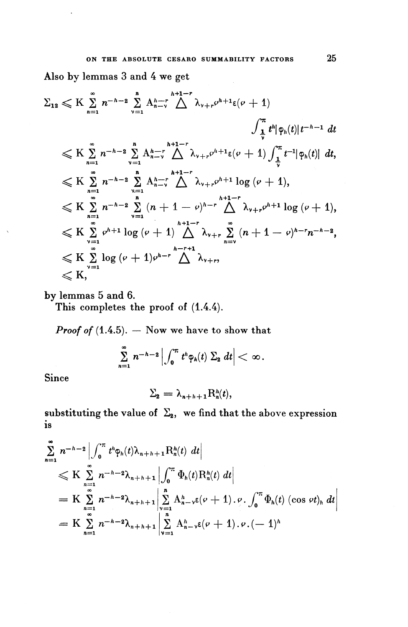Also by lemmas 3 and 4 we get

$$
\sum_{12} \ll K \sum_{n=1}^{\infty} n^{-h-2} \sum_{\nu=1}^{n} A_{n-\nu}^{h-1} \bigwedge_{\nu+r}^{h+1-r} \lambda_{\nu+r} \rho^{h+1} \varepsilon(\nu+1)
$$
\n
$$
\int_{\frac{1}{\nu}}^{\pi} t^{h} |\varphi_{h}(t)| t^{-h-1} dt
$$
\n
$$
\ll K \sum_{n=1}^{\infty} n^{-h-2} \sum_{\nu=1}^{n} A_{n-\nu}^{h-1} \bigwedge_{\nu+r}^{h+1-r} \lambda_{\nu+r} \rho^{h+1} \varepsilon(\nu+1) \int_{\frac{1}{\nu}}^{\pi} t^{-1} |\varphi_{h}(t)| dt,
$$
\n
$$
\ll K \sum_{n=1}^{\infty} n^{-h-2} \sum_{\nu=1}^{n} A_{n-\nu}^{h+1-r} \bigwedge_{\nu+r}^{h+1-r} \lambda_{\nu+r} \rho^{h+1} \log (\nu+1),
$$
\n
$$
\ll K \sum_{n=1}^{\infty} n^{-h-2} \sum_{\nu=1}^{n} (n+1-\nu)^{h-r} \bigwedge_{n=\nu}^{h+1-r} \lambda_{\nu+r} \rho^{h+1} \log (\nu+1),
$$
\n
$$
\ll K \sum_{\nu=1}^{\infty} \rho^{h+1} \log (\nu+1) \bigwedge_{n=\nu}^{h+1-r} \lambda_{\nu+r} \sum_{n=\nu}^{\infty} (n+1-\nu)^{h-r} n^{-h-2},
$$
\n
$$
\ll K \sum_{\nu=1}^{\infty} \log (\nu+1) \rho^{h-r} \bigwedge_{\nu+r}^{h-r+1} \lambda_{\nu+r},
$$
\n
$$
\ll K,
$$

by lemmas 5 and 6.

This completes the proof of  $(1.4.4)$ .

*Proof of* (1.4.5). — Now **we have to show that**

and 6.

\nes the proof of (1.4.4).

\n5). — Now we have to show that

\n
$$
\sum_{n=1}^{\infty} n^{-h-2} \left| \int_{0}^{\pi} t^{h} \varphi_{h}(t) \Sigma_{2} \, dt \right| < \infty.
$$

**Since**

$$
\Sigma_{2}=\lambda_{n+h+1}R_{n}^{h}(t),
$$

is

substituting the value of 
$$
\Sigma_{2}
$$
, we find that the above expression  
\nis  
\n
$$
\sum_{n=1}^{\infty} n^{-h-2} \left| \int_{0}^{\pi} t^{h} \phi_{h}(t) \lambda_{n+h+1} R_{n}^{h}(t) dt \right|
$$
\n
$$
\leq K \sum_{n=1}^{\infty} n^{-h-2} \lambda_{n+h+1} \left| \int_{0}^{\pi} \Phi_{h}(t) R_{n}^{h}(t) dt \right|
$$
\n
$$
= K \sum_{n=1}^{\infty} n^{-h-2} \lambda_{n+h+1} \left| \sum_{\nu=1}^{n} A_{n-\nu}^{h} \epsilon(\nu+1) \cdot \rho \cdot \int_{0}^{\pi} \Phi_{h}(t) (\cos \nu t)_{h} dt \right|
$$
\n
$$
= K \sum_{n=1}^{\infty} n^{-h-2} \lambda_{n+h+1} \left| \sum_{\nu=1}^{n} A_{n-\nu}^{h} \epsilon(\nu+1) \cdot \rho \cdot (-1)^{h} \right|
$$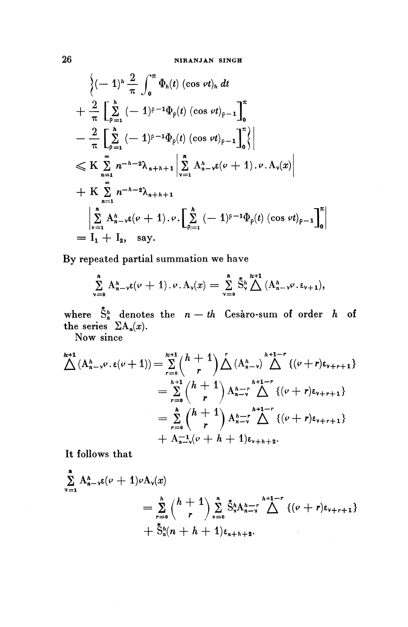$$
\begin{aligned}\n&\left\{(-1)^{h} \frac{2}{\pi} \int_{0}^{\pi} \Phi_{h}(t) (\cos \varphi t)_{h} dt \right. \\
&+\frac{2}{\pi} \left[ \sum_{\rho=1}^{h} (-1)^{\rho-1} \Phi_{\rho}(t) (\cos \varphi t)_{\rho-1} \right]_{0}^{\pi} \\
&-\frac{2}{\pi} \left[ \sum_{\rho=1}^{h} (-1)^{\rho-1} \Phi_{\rho}(t) (\cos \varphi t)_{\rho-1} \right]_{0}^{\pi} \right\} \\
&\leqslant K \sum_{n=1}^{\infty} n^{-h-2} \lambda_{n+h+1} \left| \sum_{\nu=1}^{n} A_{n-\nu}^{h} \epsilon(\nu+1) \cdot \nu \cdot A_{\nu}(x) \right| \\
&+ K \sum_{n=1}^{\infty} n^{-h-2} \lambda_{n+h+1} \\
&\left| \sum_{\nu=1}^{n} A_{n-\nu}^{h} \epsilon(\nu+1) \cdot \nu \cdot \left[ \sum_{\rho=1}^{h} (-1)^{\rho-1} \Phi_{\rho}(t) (\cos \varphi t)_{\rho-1} \right]_{0}^{\pi} \right| \\
&= I_{1} + I_{2}, \text{ say.} \end{aligned}
$$

**By** repeated partial summation we have

$$
\sum_{\nu=0}^n A_{n-\nu}^h \epsilon(\nu+1) \cdot \nu \cdot A_{\nu}(x) = \sum_{\nu=0}^n \mathring{S}_{\nu}^h \bigwedge^{h+1} (A_{n-\nu}^h \nu \cdot \epsilon_{\nu+1}),
$$

where  $\mathring{\mathbb{S}}_n^h$  denotes the  $n - th$  Cesaro-sum of order  $h$  of the series  $\Sigma A_n(x)$ .

Now since

$$
\begin{split} \bigwedge^{k+1} (A_{n-\nu}^h \varphi, \varepsilon(\nu+1)) &= \sum_{r=0}^{k+1} {h+1 \choose r} \bigwedge^r (A_{n-\nu}^h) \bigwedge^{h+1-r} \{(\nu+r) \varepsilon_{\nu+r+1}\} \\ &= \sum_{r=0}^{h+1} {h+1 \choose r} A_{n-\nu}^{h+1-r} \bigwedge^r \{(\nu+r) \varepsilon_{\nu+r+1}\} \\ &= \sum_{r=0}^h {h+1 \choose r} A_{n-\nu}^{h+1-r} \bigwedge^r \{(\nu+r) \varepsilon_{\nu+r+1}\} \\ &+ A_{n-\nu}^{-1} (\nu+h+1) \varepsilon_{\nu+h+2}. \end{split}
$$

**It follows that**

$$
\sum_{\nu=1}^{n} A_{n-\nu}^{h} \epsilon(\nu+1) \nu A_{\nu}(x) \n= \sum_{r=0}^{h} {h+1 \choose r} \sum_{\nu=0}^{n} \tilde{S}_{\nu}^{h} A_{n-\nu}^{h+1-r} \bigwedge^{h+1-r} \{(\nu+r) \epsilon_{\nu+r+1}\} \n+ \tilde{S}_{h}^{h} (n+h+1) \epsilon_{n+h+2}.
$$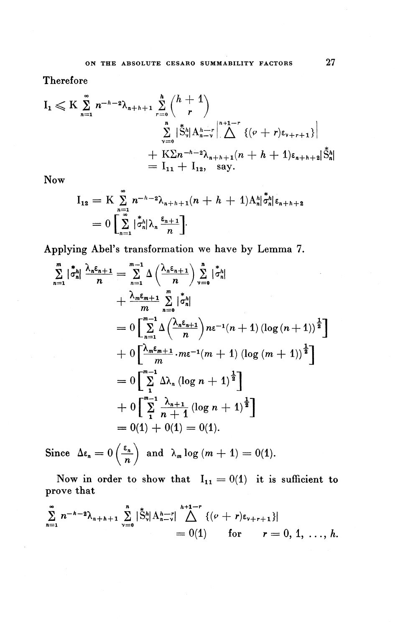Therefore

$$
I_{1} \leqslant K \sum_{n=1}^{\infty} n^{-h-2} \lambda_{n+h+1} \sum_{r=0}^{h} {h+1 \choose r} \n\sum_{\nu=0}^{h} \left| \tilde{S}_{\nu}^{h} \right| A_{n-\nu}^{h-r} \left| \bigwedge^{n+1-r} \left\{ (\nu+r) \epsilon_{\nu+r+1} \right\} \right| \n+ K \sum n^{-h-2} \lambda_{n+h+1} (n+h+1) \epsilon_{n+h+2} | \tilde{S}_{n}^{h} | \n= I_{11} + I_{12}, \text{ say.}
$$

Now

$$
I_{12} = K \sum_{n=1}^{\infty} n^{-h-2} \lambda_{n+h+1}(n+h+1) A_n^h | \dot{\sigma}_n^h | \varepsilon_{n+h+2}
$$
  
= 
$$
0 \left[ \sum_{n=1}^{\infty} |\dot{\sigma}_n^h | \lambda_n \frac{\varepsilon_{n+1}}{n} \right].
$$

Applying Abel's transformation we have by Lemma 7.

$$
\sum_{n=1}^{m} |\dot{\sigma}_{n}^{h}| \frac{\lambda_{n} \varepsilon_{n+1}}{n} = \sum_{n=1}^{m-1} \Delta \left( \frac{\lambda_{n} \varepsilon_{n+1}}{n} \right) \sum_{\nu=0}^{n} |\dot{\sigma}_{n}^{h}|
$$
  
+  $\frac{\lambda_{m} \varepsilon_{m+1}}{m} \sum_{n=0}^{m} |\dot{\sigma}_{n}^{h}|$   
=  $0 \left[ \sum_{n=1}^{m-1} \Delta \left( \frac{\lambda_{n} \varepsilon_{n+1}}{n} \right) n \varepsilon^{-1} (n+1) (\log (n+1))^{\frac{1}{2}} \right]$   
+  $0 \left[ \frac{\lambda_{m} \varepsilon_{m+1}}{m} \cdot m \varepsilon^{-1} (m+1) (\log (m+1))^{\frac{1}{2}} \right]$   
=  $0 \left[ \sum_{n=1}^{m-1} \Delta \lambda_{n} (\log n + 1)^{\frac{1}{2}} \right]$   
+  $0 \left[ \sum_{n=1}^{m-1} \frac{\lambda_{n+1}}{n+1} (\log n + 1)^{\frac{1}{2}} \right]$   
=  $0(1) + 0(1) = 0(1).$ 

Since  $\Delta \epsilon_n = 0 \left( \frac{\epsilon_n}{n} \right)$  and  $\lambda_m \log (m + 1) = 0(1)$ .  $\left(\frac{-n}{n}\right)$ 

Now in order to show that  $I_{11} = 0(1)$  it is sufficient to prove that

$$
\sum_{n=1}^{\infty} n^{-h-2} \lambda_{n+h+1} \sum_{\nu=0}^{n} |\dot{S}_{\nu}^{h}| A_{n-\nu}^{h+1-r}| \bigwedge_{n=0}^{h+1-r} \{ (\nu + r) \varepsilon_{\nu+r+1} \} |
$$
  
= 0(1) for  $r = 0, 1, ..., h.$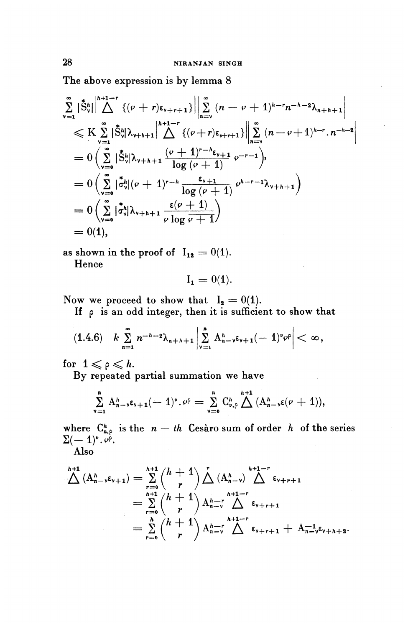The above expression is by lemma 8

$$
\sum_{\nu=1}^{\infty} |\tilde{S}_{\nu}^{h}| \Big|^{h+1-r} \{ (\rho + r) \epsilon_{\nu+r+1} \} \Big| \Big| \sum_{n=\nu}^{\infty} (n - \rho + 1)^{h-r} n^{-h-2} \lambda_{n+h+1} \Big|
$$
  
\n
$$
\leq K \sum_{\nu=1}^{\infty} |\tilde{S}_{\nu}^{h}| \lambda_{\nu+h+1} \Big|^{h+1-r} \{ (\rho + r) \epsilon_{\nu+r+1} \} \Big| \Big| \sum_{n=\nu}^{\infty} (n - \rho + 1)^{h-r} \cdot n^{-h-2} \Big|
$$
  
\n
$$
= 0 \Big( \sum_{\nu=0}^{\infty} |\tilde{S}_{\nu}^{h}| \lambda_{\nu+h+1} \frac{(\rho + 1)^{r-h} \epsilon_{\nu+1}}{\log (\rho + 1)} \rho^{-r-1} \Big),
$$
  
\n
$$
= 0 \Big( \sum_{\nu=0}^{\infty} |\tilde{\sigma}_{\nu}^{h}| (\rho + 1)^{r-h} \frac{\epsilon_{\nu+1}}{\log (\rho + 1)} \rho^{h-r-1} \lambda_{\nu+h+1} \Big)
$$
  
\n
$$
= 0 \Big( \sum_{\nu=0}^{\infty} |\tilde{\sigma}_{\nu}^{h}| \lambda_{\nu+h+1} \frac{\epsilon(\rho + 1)}{\rho \log \rho + 1} \Big)
$$
  
\n
$$
= 0(1),
$$

as shown in the proof of  $I_{12} = 0(1)$ . Hence

$$
\mathbf{I_1} = 0(1).
$$

Now we proceed to show that  $I_2 = 0(1)$ .

If p is an odd integer, then it is sufficient to show that

$$
(1.4.6) \quad k \sum_{n=1}^{\infty} n^{-h-2} \lambda_{n+h+1} \left| \sum_{\nu=1}^{n} A_{n-\nu}^h \epsilon_{\nu+1} (-1)^{\nu} \nu^{\rho} \right| < \infty,
$$

for  $1 \leqslant \rho \leqslant h$ .

By repeated partial summation we have

$$
\sum_{\nu=1}^n A_{n-\nu}^h \varepsilon_{\nu+1}(-1)^{\nu} \cdot \nu^{\rho} = \sum_{\nu=0}^n C_{\nu,\rho}^h \bigwedge^{h+1} (A_{n-\nu}^h \varepsilon(\nu+1)),
$$

where  $C^h_{n,\rho}$  is the  $n - th$  Cesaro sum of order h of the series  $\Sigma(-1)^v.\, \varphi^\circ.$ 

Also

$$
\begin{split}\n\bigwedge^{h+1} (A_{n-\nu}^{h} \varepsilon_{\nu+1}) &= \sum_{r=0}^{h+1} {h+1 \choose r} \bigwedge^{r} (A_{n-\nu}^{h}) \bigwedge^{h+1-r} \varepsilon_{\nu+r+1} \\
&= \sum_{r=0}^{h+1} {h+1 \choose r} A_{n-r}^{h-1-r} \bigwedge^{h+1-r} \varepsilon_{\nu+r+1} \\
&= \sum_{r=0}^{h} {h+1 \choose r} A_{n-r}^{h-1-r} \bigwedge^{h+1-r} \varepsilon_{\nu+r+1} + A_{n-\nu}^{-1} \varepsilon_{\nu+h+2}.\n\end{split}
$$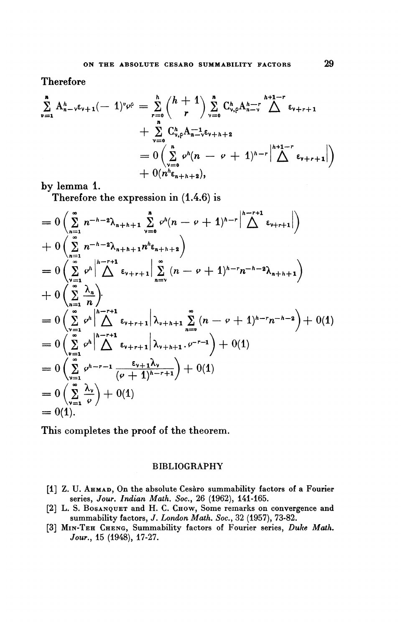Therefore

$$
\sum_{\nu=1}^{n} A_{n-\nu}^{h} \varepsilon_{\nu+1}(-1)^{\nu} \varphi^{\rho} = \sum_{r=0}^{h} {h+1 \choose r} \sum_{\nu=0}^{n} C_{\nu,\rho}^{h} A_{n-\nu}^{h-r} \bigwedge^{h+1-r} \varepsilon_{\nu+r+1} + \sum_{\nu=0}^{n} C_{\nu,\rho}^{h} A_{n-\nu}^{-1} \varepsilon_{\nu+h+2} + 0 \left( \sum_{\nu=0}^{n} \varphi^{h} (n-\varphi+1)^{h-r} \left| \bigwedge^{h+1-r} \varepsilon_{\nu+r+1} \right| \right) + 0(n^{h} \varepsilon_{n+h+2}),
$$

by lemma 1.

Therefore the expression in (1.4.6) is

$$
= 0 \left( \sum_{n=1}^{\infty} n^{-h-2} \lambda_{n+h+1} \sum_{\nu=0}^{n} \varphi^{h} (n-\nu+1)^{h-r} \Delta^{h-r+1} \psi_{\nu+r+1} \right) + 0 \left( \sum_{n=1}^{\infty} n^{-h-2} \lambda_{n+h+1} n^{h} \varepsilon_{n+h+2} \right) = 0 \left( \sum_{\nu=1}^{\infty} \varphi^{h} \Delta^{h-r+1} \sum_{n=\nu}^{\infty} (n-\nu+1)^{h-r} n^{-h-2} \lambda_{n+h+1} \right) + 0 \left( \sum_{n=1}^{\infty} \frac{\lambda_{n}}{n} \right) = 0 \left( \sum_{\nu=1}^{\infty} \varphi^{h} \Delta^{h-r+1} \varepsilon_{\nu+r+1} |\lambda_{\nu+h+1} \sum_{n=\nu}^{\infty} (n-\nu+1)^{h-r} n^{-h-2} \right) + 0(1) = 0 \left( \sum_{\nu=1}^{\infty} \varphi^{h} \Delta^{h-r+1} \varepsilon_{\nu+r+1} |\lambda_{\nu+h+1} \cdot \varphi_{\nu-r-1} \right) + 0(1) = 0 \left( \sum_{\nu=1}^{\infty} \varphi^{h-r-1} \frac{\varepsilon_{\nu+1} \lambda_{\nu}}{(\nu+1)^{h-r+1}} \right) + 0(1) = 0 \left( \sum_{\nu=1}^{\infty} \frac{\lambda_{\nu}}{\varphi} \right) + 0(1) = 0(1).
$$

This completes the proof of the theorem.

#### BIBLIOGRAPHY

- [1] Z. U. AHMAD, On the absolute Cesaro summability factors of a Fourier series, Jour. Indian Math. Soc., 26 (1962), 141-165.
- [2] L. S. Bosanquer and H. C. CHOW, Some remarks on convergence and summability factors, J. *London Math. Soc.,* 32 (1957), 73-82.
- [3] MIN-TEH CHENG, Summability factors of Fourier series, *Duke Math. Jour.,* **15** (1948), **17-27.**